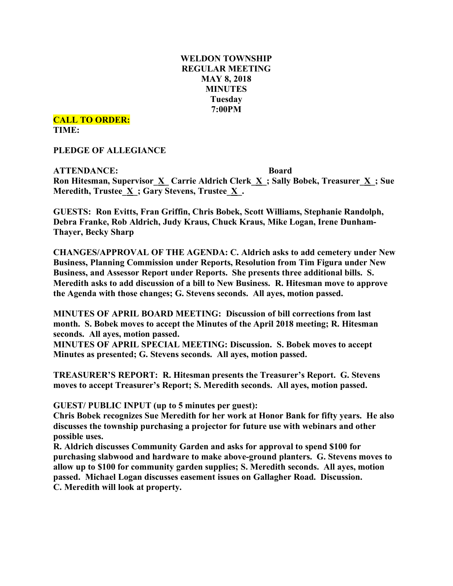# **WELDON TOWNSHIP REGULAR MEETING MAY 8, 2018 MINUTES Tuesday 7:00PM**

**CALL TO ORDER: TIME:**

**PLEDGE OF ALLEGIANCE**

**ATTENDANCE: Board Ron Hitesman, Supervisor**  $\underline{X}$  **<b>Carrie** Aldrich Clerk  $\underline{X}$ ; Sally Bobek, Treasurer  $\underline{X}$ ; Sue **Meredith, Trustee**  $\underline{X}$ **; Gary Stevens, Trustee**  $\underline{X}$ **.** 

**GUESTS: Ron Evitts, Fran Griffin, Chris Bobek, Scott Williams, Stephanie Randolph, Debra Franke, Rob Aldrich, Judy Kraus, Chuck Kraus, Mike Logan, Irene Dunham-Thayer, Becky Sharp**

**CHANGES/APPROVAL OF THE AGENDA: C. Aldrich asks to add cemetery under New Business, Planning Commission under Reports, Resolution from Tim Figura under New Business, and Assessor Report under Reports. She presents three additional bills. S. Meredith asks to add discussion of a bill to New Business. R. Hitesman move to approve the Agenda with those changes; G. Stevens seconds. All ayes, motion passed.**

**MINUTES OF APRIL BOARD MEETING: Discussion of bill corrections from last month. S. Bobek moves to accept the Minutes of the April 2018 meeting; R. Hitesman seconds. All ayes, motion passed.**

**MINUTES OF APRIL SPECIAL MEETING: Discussion. S. Bobek moves to accept Minutes as presented; G. Stevens seconds. All ayes, motion passed.**

**TREASURER'S REPORT: R. Hitesman presents the Treasurer's Report. G. Stevens moves to accept Treasurer's Report; S. Meredith seconds. All ayes, motion passed.**

**GUEST/ PUBLIC INPUT (up to 5 minutes per guest):**

**Chris Bobek recognizes Sue Meredith for her work at Honor Bank for fifty years. He also discusses the township purchasing a projector for future use with webinars and other possible uses.**

**R. Aldrich discusses Community Garden and asks for approval to spend \$100 for purchasing slabwood and hardware to make above-ground planters. G. Stevens moves to allow up to \$100 for community garden supplies; S. Meredith seconds. All ayes, motion passed. Michael Logan discusses easement issues on Gallagher Road. Discussion. C. Meredith will look at property.**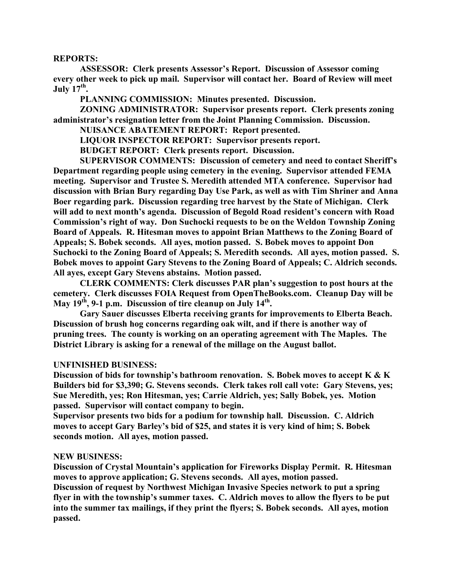### **REPORTS:**

**ASSESSOR: Clerk presents Assessor's Report. Discussion of Assessor coming every other week to pick up mail. Supervisor will contact her. Board of Review will meet July 17<sup>th</sup>.** 

**PLANNING COMMISSION: Minutes presented. Discussion.**

**ZONING ADMINISTRATOR: Supervisor presents report. Clerk presents zoning administrator's resignation letter from the Joint Planning Commission. Discussion.**

**NUISANCE ABATEMENT REPORT: Report presented.**

**LIQUOR INSPECTOR REPORT: Supervisor presents report.**

**BUDGET REPORT: Clerk presents report. Discussion.**

**SUPERVISOR COMMENTS: Discussion of cemetery and need to contact Sheriff's Department regarding people using cemetery in the evening. Supervisor attended FEMA meeting. Supervisor and Trustee S. Meredith attended MTA conference. Supervisor had discussion with Brian Bury regarding Day Use Park, as well as with Tim Shriner and Anna Boer regarding park. Discussion regarding tree harvest by the State of Michigan. Clerk will add to next month's agenda. Discussion of Begold Road resident's concern with Road Commission's right of way. Don Suchocki requests to be on the Weldon Township Zoning Board of Appeals. R. Hitesman moves to appoint Brian Matthews to the Zoning Board of Appeals; S. Bobek seconds. All ayes, motion passed. S. Bobek moves to appoint Don Suchocki to the Zoning Board of Appeals; S. Meredith seconds. All ayes, motion passed. S. Bobek moves to appoint Gary Stevens to the Zoning Board of Appeals; C. Aldrich seconds. All ayes, except Gary Stevens abstains. Motion passed.**

**CLERK COMMENTS: Clerk discusses PAR plan's suggestion to post hours at the cemetery. Clerk discusses FOIA Request from OpenTheBooks.com. Cleanup Day will be May 19th, 9-1 p.m. Discussion of tire cleanup on July 14th.**

**Gary Sauer discusses Elberta receiving grants for improvements to Elberta Beach. Discussion of brush hog concerns regarding oak wilt, and if there is another way of pruning trees. The county is working on an operating agreement with The Maples. The District Library is asking for a renewal of the millage on the August ballot.**

#### **UNFINISHED BUSINESS:**

**Discussion of bids for township's bathroom renovation. S. Bobek moves to accept K & K Builders bid for \$3,390; G. Stevens seconds. Clerk takes roll call vote: Gary Stevens, yes; Sue Meredith, yes; Ron Hitesman, yes; Carrie Aldrich, yes; Sally Bobek, yes. Motion passed. Supervisor will contact company to begin.**

**Supervisor presents two bids for a podium for township hall. Discussion. C. Aldrich moves to accept Gary Barley's bid of \$25, and states it is very kind of him; S. Bobek seconds motion. All ayes, motion passed.**

### **NEW BUSINESS:**

**Discussion of Crystal Mountain's application for Fireworks Display Permit. R. Hitesman moves to approve application; G. Stevens seconds. All ayes, motion passed.**

**Discussion of request by Northwest Michigan Invasive Species network to put a spring flyer in with the township's summer taxes. C. Aldrich moves to allow the flyers to be put into the summer tax mailings, if they print the flyers; S. Bobek seconds. All ayes, motion passed.**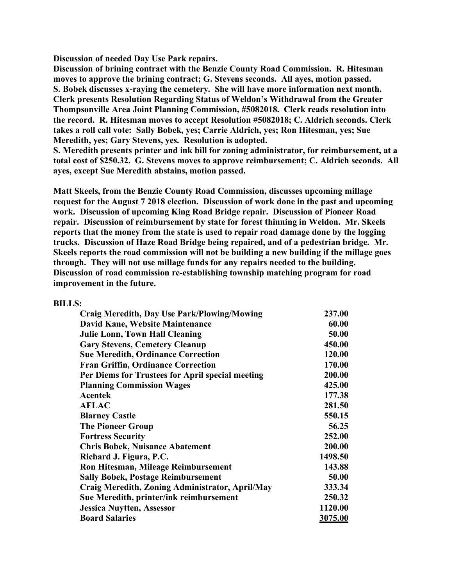**Discussion of needed Day Use Park repairs.**

**Discussion of brining contract with the Benzie County Road Commission. R. Hitesman moves to approve the brining contract; G. Stevens seconds. All ayes, motion passed. S. Bobek discusses x-raying the cemetery. She will have more information next month. Clerk presents Resolution Regarding Status of Weldon's Withdrawal from the Greater Thompsonville Area Joint Planning Commission, #5082018. Clerk reads resolution into the record. R. Hitesman moves to accept Resolution #5082018; C. Aldrich seconds. Clerk takes a roll call vote: Sally Bobek, yes; Carrie Aldrich, yes; Ron Hitesman, yes; Sue Meredith, yes; Gary Stevens, yes. Resolution is adopted.**

**S. Meredith presents printer and ink bill for zoning administrator, for reimbursement, at a total cost of \$250.32. G. Stevens moves to approve reimbursement; C. Aldrich seconds. All ayes, except Sue Meredith abstains, motion passed.**

**Matt Skeels, from the Benzie County Road Commission, discusses upcoming millage request for the August 7 2018 election. Discussion of work done in the past and upcoming work. Discussion of upcoming King Road Bridge repair. Discussion of Pioneer Road repair. Discussion of reimbursement by state for forest thinning in Weldon. Mr. Skeels reports that the money from the state is used to repair road damage done by the logging trucks. Discussion of Haze Road Bridge being repaired, and of a pedestrian bridge. Mr. Skeels reports the road commission will not be building a new building if the millage goes through. They will not use millage funds for any repairs needed to the building. Discussion of road commission re-establishing township matching program for road improvement in the future.**

## **BILLS:**

| <b>Craig Meredith, Day Use Park/Plowing/Mowing</b> | 237.00  |
|----------------------------------------------------|---------|
| David Kane, Website Maintenance                    | 60.00   |
| <b>Julie Lonn, Town Hall Cleaning</b>              | 50.00   |
| <b>Gary Stevens, Cemetery Cleanup</b>              | 450.00  |
| <b>Sue Meredith, Ordinance Correction</b>          | 120.00  |
| <b>Fran Griffin, Ordinance Correction</b>          | 170.00  |
| Per Diems for Trustees for April special meeting   | 200.00  |
| <b>Planning Commission Wages</b>                   | 425.00  |
| <b>Acentek</b>                                     | 177.38  |
| <b>AFLAC</b>                                       | 281.50  |
| <b>Blarney Castle</b>                              | 550.15  |
| <b>The Pioneer Group</b>                           | 56.25   |
| <b>Fortress Security</b>                           | 252.00  |
| <b>Chris Bobek, Nuisance Abatement</b>             | 200.00  |
| Richard J. Figura, P.C.                            | 1498.50 |
| Ron Hitesman, Mileage Reimbursement                | 143.88  |
| <b>Sally Bobek, Postage Reimbursement</b>          | 50.00   |
| Craig Meredith, Zoning Administrator, April/May    | 333.34  |
| Sue Meredith, printer/ink reimbursement            | 250.32  |
| <b>Jessica Nuytten, Assessor</b>                   | 1120.00 |
| <b>Board Salaries</b>                              | 3075.00 |
|                                                    |         |